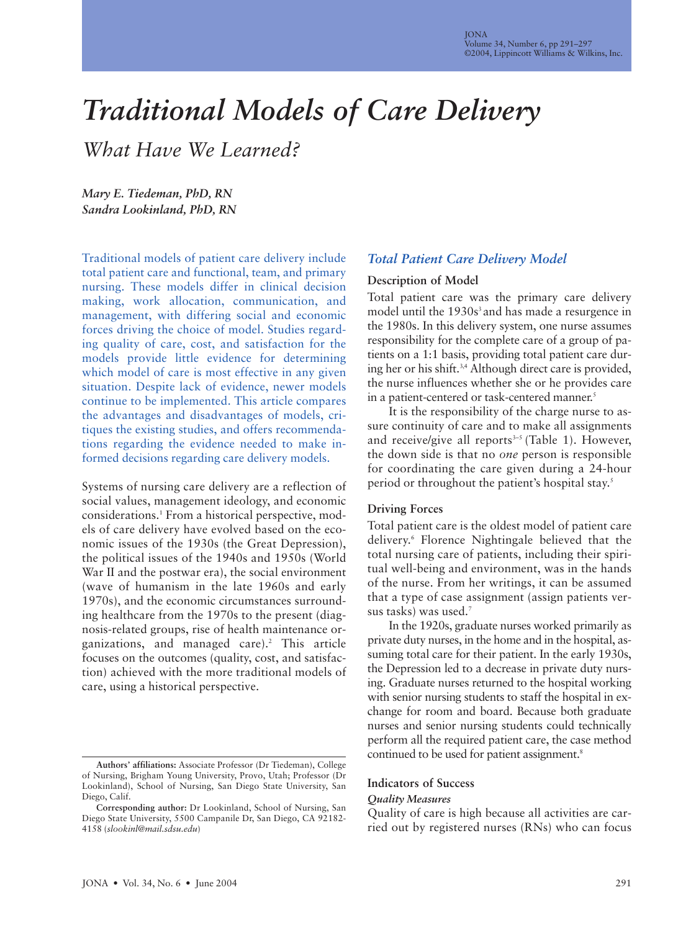# *Traditional Models of Care Delivery*

*What Have We Learned?*

*Mary E. Tiedeman, PhD, RN Sandra Lookinland, PhD, RN*

Traditional models of patient care delivery include total patient care and functional, team, and primary nursing. These models differ in clinical decision making, work allocation, communication, and management, with differing social and economic forces driving the choice of model. Studies regarding quality of care, cost, and satisfaction for the models provide little evidence for determining which model of care is most effective in any given situation. Despite lack of evidence, newer models continue to be implemented. This article compares the advantages and disadvantages of models, critiques the existing studies, and offers recommendations regarding the evidence needed to make informed decisions regarding care delivery models.

Systems of nursing care delivery are a reflection of social values, management ideology, and economic considerations.1 From a historical perspective, models of care delivery have evolved based on the economic issues of the 1930s (the Great Depression), the political issues of the 1940s and 1950s (World War II and the postwar era), the social environment (wave of humanism in the late 1960s and early 1970s), and the economic circumstances surrounding healthcare from the 1970s to the present (diagnosis-related groups, rise of health maintenance organizations, and managed care).<sup>2</sup> This article focuses on the outcomes (quality, cost, and satisfaction) achieved with the more traditional models of care, using a historical perspective.

# *Total Patient Care Delivery Model*

#### **Description of Model**

Total patient care was the primary care delivery model until the 1930s<sup>3</sup> and has made a resurgence in the 1980s. In this delivery system, one nurse assumes responsibility for the complete care of a group of patients on a 1:1 basis, providing total patient care during her or his shift.3,4 Although direct care is provided, the nurse influences whether she or he provides care in a patient-centered or task-centered manner.<sup>5</sup>

It is the responsibility of the charge nurse to assure continuity of care and to make all assignments and receive/give all reports $3-5$  (Table 1). However, the down side is that no *one* person is responsible for coordinating the care given during a 24-hour period or throughout the patient's hospital stay.<sup>5</sup>

# **Driving Forces**

Total patient care is the oldest model of patient care delivery.6 Florence Nightingale believed that the total nursing care of patients, including their spiritual well-being and environment, was in the hands of the nurse. From her writings, it can be assumed that a type of case assignment (assign patients versus tasks) was used.7

In the 1920s, graduate nurses worked primarily as private duty nurses, in the home and in the hospital, assuming total care for their patient. In the early 1930s, the Depression led to a decrease in private duty nursing. Graduate nurses returned to the hospital working with senior nursing students to staff the hospital in exchange for room and board. Because both graduate nurses and senior nursing students could technically perform all the required patient care, the case method continued to be used for patient assignment.<sup>8</sup>

# **Indicators of Success**

#### *Quality Measures*

Quality of care is high because all activities are carried out by registered nurses (RNs) who can focus

**Authors' affiliations:** Associate Professor (Dr Tiedeman), College of Nursing, Brigham Young University, Provo, Utah; Professor (Dr Lookinland), School of Nursing, San Diego State University, San Diego, Calif.

**Corresponding author:** Dr Lookinland, School of Nursing, San Diego State University, 5500 Campanile Dr, San Diego, CA 92182- 4158 (*slookinl@mail.sdsu.edu*)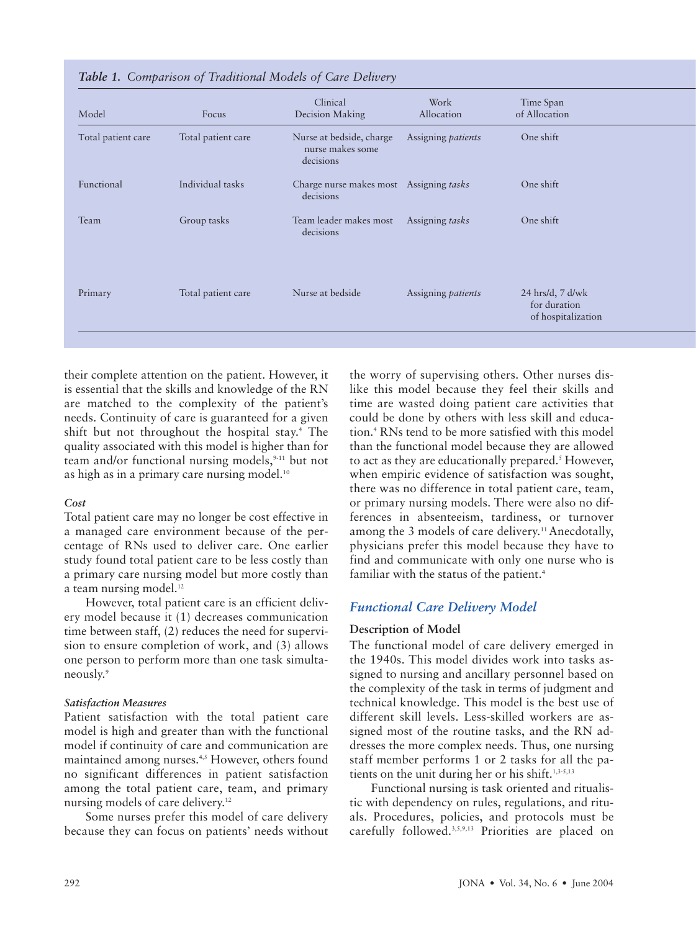| Model              | Focus              | Clinical<br>Decision Making                               | Work<br>Allocation        | Time Span<br>of Allocation                               |
|--------------------|--------------------|-----------------------------------------------------------|---------------------------|----------------------------------------------------------|
| Total patient care | Total patient care | Nurse at bedside, charge<br>nurse makes some<br>decisions | Assigning patients        | One shift                                                |
| Functional         | Individual tasks   | Charge nurse makes most<br>decisions                      | Assigning tasks           | One shift                                                |
| Team               | Group tasks        | Team leader makes most<br>decisions                       | Assigning tasks           | One shift                                                |
| Primary            | Total patient care | Nurse at bedside                                          | Assigning <i>patients</i> | $24$ hrs/d, 7 d/wk<br>for duration<br>of hospitalization |

#### *Table 1. Comparison of Traditional Models of Care Delivery*

their complete attention on the patient. However, it is essential that the skills and knowledge of the RN are matched to the complexity of the patient's needs. Continuity of care is guaranteed for a given shift but not throughout the hospital stay.<sup>4</sup> The quality associated with this model is higher than for team and/or functional nursing models,<sup>9-11</sup> but not as high as in a primary care nursing model.<sup>10</sup>

#### *Cost*

Total patient care may no longer be cost effective in a managed care environment because of the percentage of RNs used to deliver care. One earlier study found total patient care to be less costly than a primary care nursing model but more costly than a team nursing model. $12$ 

However, total patient care is an efficient delivery model because it (1) decreases communication time between staff, (2) reduces the need for supervision to ensure completion of work, and (3) allows one person to perform more than one task simultaneously.9

# *Satisfaction Measures*

Patient satisfaction with the total patient care model is high and greater than with the functional model if continuity of care and communication are maintained among nurses.<sup>4,5</sup> However, others found no significant differences in patient satisfaction among the total patient care, team, and primary nursing models of care delivery.<sup>12</sup>

Some nurses prefer this model of care delivery because they can focus on patients' needs without

the worry of supervising others. Other nurses dislike this model because they feel their skills and time are wasted doing patient care activities that could be done by others with less skill and education.4 RNs tend to be more satisfied with this model than the functional model because they are allowed to act as they are educationally prepared.<sup>5</sup> However, when empiric evidence of satisfaction was sought, there was no difference in total patient care, team, or primary nursing models. There were also no differences in absenteeism, tardiness, or turnover among the 3 models of care delivery.<sup>11</sup> Anecdotally, physicians prefer this model because they have to find and communicate with only one nurse who is familiar with the status of the patient.<sup>4</sup>

# *Functional Care Delivery Model*

# **Description of Model**

The functional model of care delivery emerged in the 1940s. This model divides work into tasks assigned to nursing and ancillary personnel based on the complexity of the task in terms of judgment and technical knowledge. This model is the best use of different skill levels. Less-skilled workers are assigned most of the routine tasks, and the RN addresses the more complex needs. Thus, one nursing staff member performs 1 or 2 tasks for all the patients on the unit during her or his shift. $1,3-5,13$ 

Functional nursing is task oriented and ritualistic with dependency on rules, regulations, and rituals. Procedures, policies, and protocols must be carefully followed.3,5,9,13 Priorities are placed on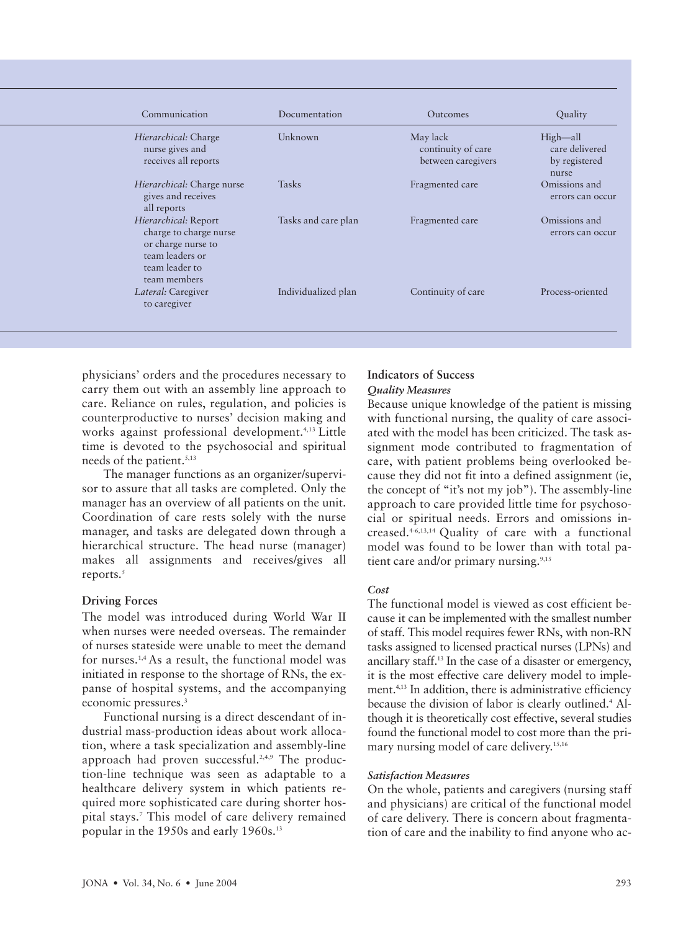| Communication                                                                                                             | Documentation       | <b>Outcomes</b>                                      | Quality                                              |
|---------------------------------------------------------------------------------------------------------------------------|---------------------|------------------------------------------------------|------------------------------------------------------|
| Hierarchical: Charge<br>nurse gives and<br>receives all reports                                                           | Unknown             | May lack<br>continuity of care<br>between caregivers | High—all<br>care delivered<br>by registered<br>nurse |
| Hierarchical: Charge nurse<br>gives and receives<br>all reports                                                           | <b>Tasks</b>        | Fragmented care                                      | Omissions and<br>errors can occur                    |
| Hierarchical: Report<br>charge to charge nurse<br>or charge nurse to<br>team leaders or<br>team leader to<br>team members | Tasks and care plan | Fragmented care                                      | Omissions and<br>errors can occur                    |
| <i>Lateral:</i> Caregiver<br>to caregiver                                                                                 | Individualized plan | Continuity of care                                   | Process-oriented                                     |

physicians' orders and the procedures necessary to carry them out with an assembly line approach to care. Reliance on rules, regulation, and policies is counterproductive to nurses' decision making and works against professional development.<sup>4,13</sup> Little time is devoted to the psychosocial and spiritual needs of the patient.<sup>5,13</sup>

The manager functions as an organizer/supervisor to assure that all tasks are completed. Only the manager has an overview of all patients on the unit. Coordination of care rests solely with the nurse manager, and tasks are delegated down through a hierarchical structure. The head nurse (manager) makes all assignments and receives/gives all reports.<sup>5</sup>

# **Driving Forces**

The model was introduced during World War II when nurses were needed overseas. The remainder of nurses stateside were unable to meet the demand for nurses.1,4 As a result, the functional model was initiated in response to the shortage of RNs, the expanse of hospital systems, and the accompanying economic pressures.<sup>3</sup>

Functional nursing is a direct descendant of industrial mass-production ideas about work allocation, where a task specialization and assembly-line approach had proven successful.<sup>2,4,9</sup> The production-line technique was seen as adaptable to a healthcare delivery system in which patients required more sophisticated care during shorter hospital stays.7 This model of care delivery remained popular in the 1950s and early 1960s.13

# **Indicators of Success**

# *Quality Measures*

Because unique knowledge of the patient is missing with functional nursing, the quality of care associated with the model has been criticized. The task assignment mode contributed to fragmentation of care, with patient problems being overlooked because they did not fit into a defined assignment (ie, the concept of "it's not my job"). The assembly-line approach to care provided little time for psychosocial or spiritual needs. Errors and omissions increased.4-6,13,14 Quality of care with a functional model was found to be lower than with total patient care and/or primary nursing. $9,15$ 

# *Cost*

The functional model is viewed as cost efficient because it can be implemented with the smallest number of staff. This model requires fewer RNs, with non-RN tasks assigned to licensed practical nurses (LPNs) and ancillary staff.13 In the case of a disaster or emergency, it is the most effective care delivery model to implement.4,13 In addition, there is administrative efficiency because the division of labor is clearly outlined.<sup>4</sup> Although it is theoretically cost effective, several studies found the functional model to cost more than the primary nursing model of care delivery.<sup>15,16</sup>

# *Satisfaction Measures*

On the whole, patients and caregivers (nursing staff and physicians) are critical of the functional model of care delivery. There is concern about fragmentation of care and the inability to find anyone who ac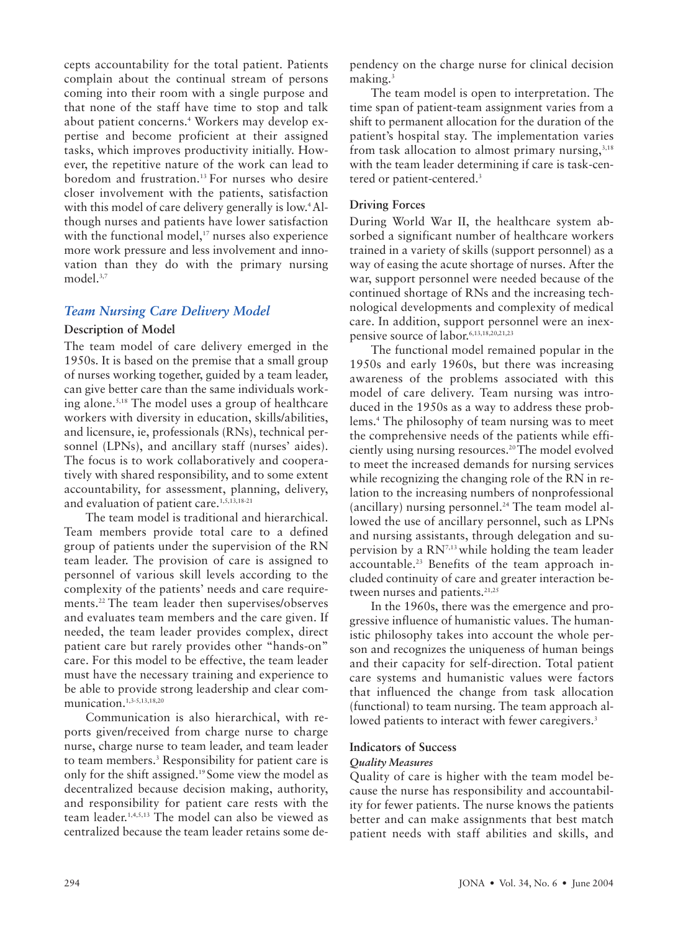cepts accountability for the total patient. Patients complain about the continual stream of persons coming into their room with a single purpose and that none of the staff have time to stop and talk about patient concerns.4 Workers may develop expertise and become proficient at their assigned tasks, which improves productivity initially. However, the repetitive nature of the work can lead to boredom and frustration.13 For nurses who desire closer involvement with the patients, satisfaction with this model of care delivery generally is low.<sup>4</sup> Although nurses and patients have lower satisfaction with the functional model,<sup>17</sup> nurses also experience more work pressure and less involvement and innovation than they do with the primary nursing model.<sup>3,7</sup>

# *Team Nursing Care Delivery Model*

#### **Description of Model**

The team model of care delivery emerged in the 1950s. It is based on the premise that a small group of nurses working together, guided by a team leader, can give better care than the same individuals working alone.5,18 The model uses a group of healthcare workers with diversity in education, skills/abilities, and licensure, ie, professionals (RNs), technical personnel (LPNs), and ancillary staff (nurses' aides). The focus is to work collaboratively and cooperatively with shared responsibility, and to some extent accountability, for assessment, planning, delivery, and evaluation of patient care.<sup>1,5,13,18-21</sup>

The team model is traditional and hierarchical. Team members provide total care to a defined group of patients under the supervision of the RN team leader. The provision of care is assigned to personnel of various skill levels according to the complexity of the patients' needs and care requirements.22 The team leader then supervises/observes and evaluates team members and the care given. If needed, the team leader provides complex, direct patient care but rarely provides other "hands-on" care. For this model to be effective, the team leader must have the necessary training and experience to be able to provide strong leadership and clear communication.1,3-5,13,18,20

Communication is also hierarchical, with reports given/received from charge nurse to charge nurse, charge nurse to team leader, and team leader to team members.3 Responsibility for patient care is only for the shift assigned.19 Some view the model as decentralized because decision making, authority, and responsibility for patient care rests with the team leader.1,4,5,13 The model can also be viewed as centralized because the team leader retains some de-

pendency on the charge nurse for clinical decision making. $3$ 

The team model is open to interpretation. The time span of patient-team assignment varies from a shift to permanent allocation for the duration of the patient's hospital stay. The implementation varies from task allocation to almost primary nursing, $3,18$ with the team leader determining if care is task-centered or patient-centered.<sup>3</sup>

#### **Driving Forces**

During World War II, the healthcare system absorbed a significant number of healthcare workers trained in a variety of skills (support personnel) as a way of easing the acute shortage of nurses. After the war, support personnel were needed because of the continued shortage of RNs and the increasing technological developments and complexity of medical care. In addition, support personnel were an inexpensive source of labor.<sup>6,13,18,20,21,23</sup>

The functional model remained popular in the 1950s and early 1960s, but there was increasing awareness of the problems associated with this model of care delivery. Team nursing was introduced in the 1950s as a way to address these problems.4 The philosophy of team nursing was to meet the comprehensive needs of the patients while efficiently using nursing resources.<sup>20</sup> The model evolved to meet the increased demands for nursing services while recognizing the changing role of the RN in relation to the increasing numbers of nonprofessional (ancillary) nursing personnel.<sup>24</sup> The team model allowed the use of ancillary personnel, such as LPNs and nursing assistants, through delegation and supervision by a  $RN^{7,13}$  while holding the team leader accountable.23 Benefits of the team approach included continuity of care and greater interaction between nurses and patients.<sup>21,25</sup>

In the 1960s, there was the emergence and progressive influence of humanistic values. The humanistic philosophy takes into account the whole person and recognizes the uniqueness of human beings and their capacity for self-direction. Total patient care systems and humanistic values were factors that influenced the change from task allocation (functional) to team nursing. The team approach allowed patients to interact with fewer caregivers.<sup>3</sup>

#### **Indicators of Success**

#### *Quality Measures*

Quality of care is higher with the team model because the nurse has responsibility and accountability for fewer patients. The nurse knows the patients better and can make assignments that best match patient needs with staff abilities and skills, and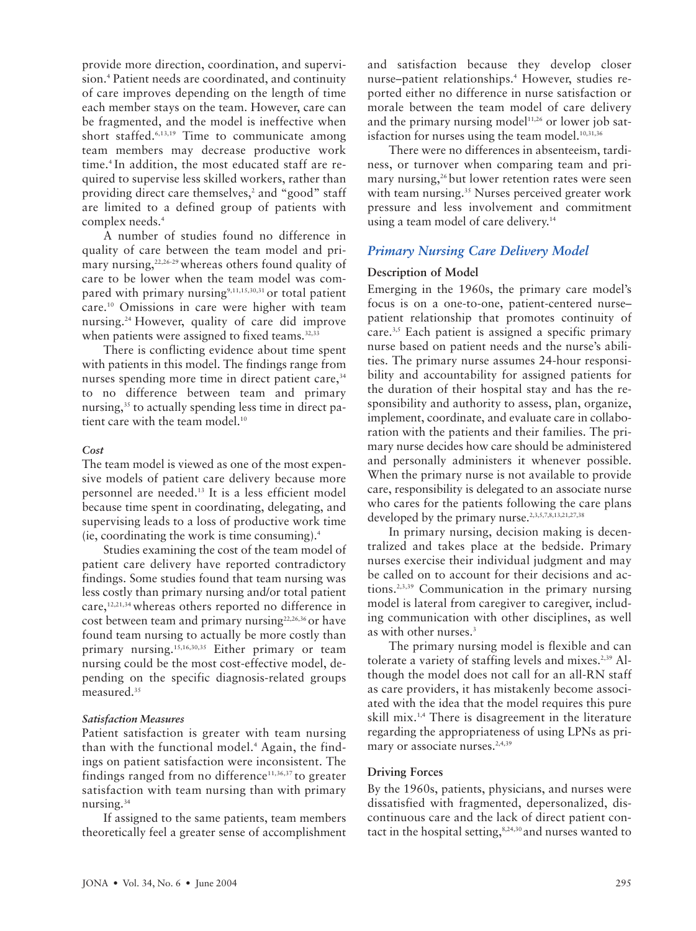provide more direction, coordination, and supervision.<sup>4</sup> Patient needs are coordinated, and continuity of care improves depending on the length of time each member stays on the team. However, care can be fragmented, and the model is ineffective when short staffed.<sup>6,13,19</sup> Time to communicate among team members may decrease productive work time.<sup>4</sup> In addition, the most educated staff are required to supervise less skilled workers, rather than providing direct care themselves,<sup>2</sup> and "good" staff are limited to a defined group of patients with complex needs.<sup>4</sup>

A number of studies found no difference in quality of care between the team model and primary nursing,<sup>22,26-29</sup> whereas others found quality of care to be lower when the team model was compared with primary nursing $9,11,15,30,31$  or total patient care.10 Omissions in care were higher with team nursing.24 However, quality of care did improve when patients were assigned to fixed teams.<sup>32,33</sup>

There is conflicting evidence about time spent with patients in this model. The findings range from nurses spending more time in direct patient care,<sup>34</sup> to no difference between team and primary nursing,<sup>35</sup> to actually spending less time in direct patient care with the team model.<sup>10</sup>

#### *Cost*

The team model is viewed as one of the most expensive models of patient care delivery because more personnel are needed.13 It is a less efficient model because time spent in coordinating, delegating, and supervising leads to a loss of productive work time (ie, coordinating the work is time consuming).4

Studies examining the cost of the team model of patient care delivery have reported contradictory findings. Some studies found that team nursing was less costly than primary nursing and/or total patient care,12,21,34 whereas others reported no difference in cost between team and primary nursing<sup>22,26,36</sup> or have found team nursing to actually be more costly than primary nursing.15,16,30,35 Either primary or team nursing could be the most cost-effective model, depending on the specific diagnosis-related groups measured.<sup>35</sup>

# *Satisfaction Measures*

Patient satisfaction is greater with team nursing than with the functional model.4 Again, the findings on patient satisfaction were inconsistent. The findings ranged from no difference<sup>11,36,37</sup> to greater satisfaction with team nursing than with primary nursing.<sup>34</sup>

If assigned to the same patients, team members theoretically feel a greater sense of accomplishment and satisfaction because they develop closer nurse–patient relationships.4 However, studies reported either no difference in nurse satisfaction or morale between the team model of care delivery and the primary nursing model $11,26$  or lower job satisfaction for nurses using the team model. $10,31,36$ 

There were no differences in absenteeism, tardiness, or turnover when comparing team and primary nursing,<sup>26</sup> but lower retention rates were seen with team nursing.<sup>35</sup> Nurses perceived greater work pressure and less involvement and commitment using a team model of care delivery.<sup>14</sup>

# *Primary Nursing Care Delivery Model*

# **Description of Model**

Emerging in the 1960s, the primary care model's focus is on a one-to-one, patient-centered nurse– patient relationship that promotes continuity of care.3,5 Each patient is assigned a specific primary nurse based on patient needs and the nurse's abilities. The primary nurse assumes 24-hour responsibility and accountability for assigned patients for the duration of their hospital stay and has the responsibility and authority to assess, plan, organize, implement, coordinate, and evaluate care in collaboration with the patients and their families. The primary nurse decides how care should be administered and personally administers it whenever possible. When the primary nurse is not available to provide care, responsibility is delegated to an associate nurse who cares for the patients following the care plans developed by the primary nurse.<sup>2,3,5,7,8,13,21,27,38</sup>

In primary nursing, decision making is decentralized and takes place at the bedside. Primary nurses exercise their individual judgment and may be called on to account for their decisions and actions.2,3,39 Communication in the primary nursing model is lateral from caregiver to caregiver, including communication with other disciplines, as well as with other nurses.<sup>3</sup>

The primary nursing model is flexible and can tolerate a variety of staffing levels and mixes.<sup>2,39</sup> Although the model does not call for an all-RN staff as care providers, it has mistakenly become associated with the idea that the model requires this pure skill mix.1,4 There is disagreement in the literature regarding the appropriateness of using LPNs as primary or associate nurses.<sup>2,4,39</sup>

# **Driving Forces**

By the 1960s, patients, physicians, and nurses were dissatisfied with fragmented, depersonalized, discontinuous care and the lack of direct patient contact in the hospital setting,<sup>8,24,30</sup> and nurses wanted to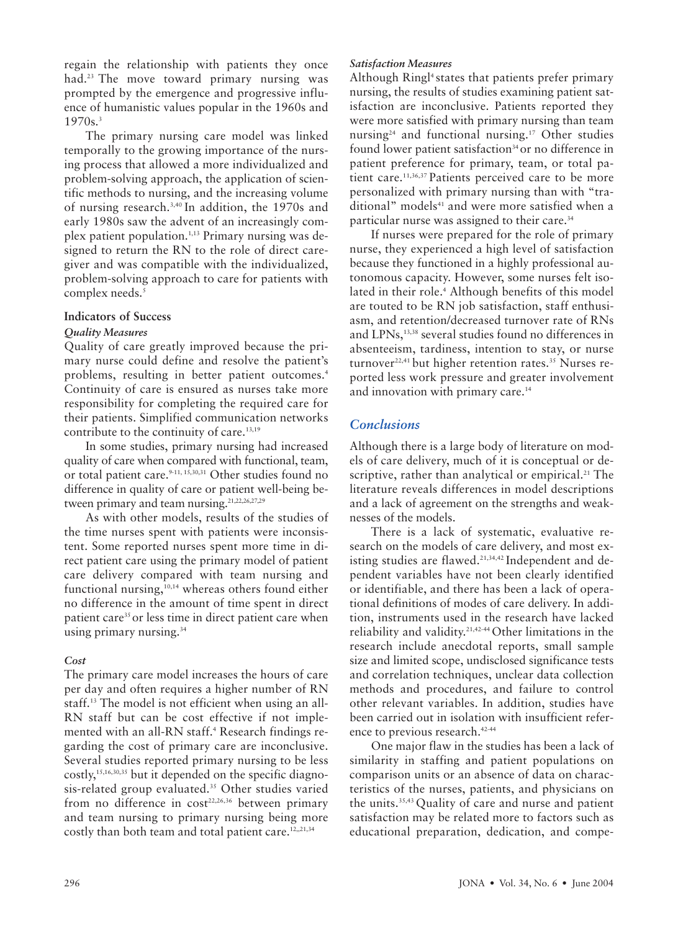regain the relationship with patients they once had.<sup>23</sup> The move toward primary nursing was prompted by the emergence and progressive influence of humanistic values popular in the 1960s and  $1970s.<sup>3</sup>$ 

The primary nursing care model was linked temporally to the growing importance of the nursing process that allowed a more individualized and problem-solving approach, the application of scientific methods to nursing, and the increasing volume of nursing research.3,40 In addition, the 1970s and early 1980s saw the advent of an increasingly complex patient population.<sup>1,13</sup> Primary nursing was designed to return the RN to the role of direct caregiver and was compatible with the individualized, problem-solving approach to care for patients with complex needs.<sup>5</sup>

# **Indicators of Success**

#### *Quality Measures*

Quality of care greatly improved because the primary nurse could define and resolve the patient's problems, resulting in better patient outcomes.4 Continuity of care is ensured as nurses take more responsibility for completing the required care for their patients. Simplified communication networks contribute to the continuity of care.<sup>13,19</sup>

In some studies, primary nursing had increased quality of care when compared with functional, team, or total patient care.<sup>9-11, 15,30,31</sup> Other studies found no difference in quality of care or patient well-being between primary and team nursing.<sup>21,22,26,27,29</sup>

As with other models, results of the studies of the time nurses spent with patients were inconsistent. Some reported nurses spent more time in direct patient care using the primary model of patient care delivery compared with team nursing and functional nursing,<sup>10,14</sup> whereas others found either no difference in the amount of time spent in direct patient care<sup>35</sup> or less time in direct patient care when using primary nursing.<sup>34</sup>

# *Cost*

The primary care model increases the hours of care per day and often requires a higher number of RN staff.13 The model is not efficient when using an all-RN staff but can be cost effective if not implemented with an all-RN staff.<sup>4</sup> Research findings regarding the cost of primary care are inconclusive. Several studies reported primary nursing to be less costly,15,16,30,35 but it depended on the specific diagnosis-related group evaluated.<sup>35</sup> Other studies varied from no difference in  $cost^{22,26,36}$  between primary and team nursing to primary nursing being more costly than both team and total patient care.<sup>12,,21,34</sup>

#### *Satisfaction Measures*

Although Ringl<sup>4</sup> states that patients prefer primary nursing, the results of studies examining patient satisfaction are inconclusive. Patients reported they were more satisfied with primary nursing than team nursing<sup>24</sup> and functional nursing.<sup>17</sup> Other studies found lower patient satisfaction<sup>34</sup> or no difference in patient preference for primary, team, or total patient care.<sup>11,36,37</sup> Patients perceived care to be more personalized with primary nursing than with "traditional" models<sup>41</sup> and were more satisfied when a particular nurse was assigned to their care.<sup>34</sup>

If nurses were prepared for the role of primary nurse, they experienced a high level of satisfaction because they functioned in a highly professional autonomous capacity. However, some nurses felt isolated in their role.<sup>4</sup> Although benefits of this model are touted to be RN job satisfaction, staff enthusiasm, and retention/decreased turnover rate of RNs and LPNs,13,38 several studies found no differences in absenteeism, tardiness, intention to stay, or nurse turnover<sup>22,41</sup> but higher retention rates.<sup>35</sup> Nurses reported less work pressure and greater involvement and innovation with primary care.<sup>14</sup>

# *Conclusions*

Although there is a large body of literature on models of care delivery, much of it is conceptual or descriptive, rather than analytical or empirical.<sup>21</sup> The literature reveals differences in model descriptions and a lack of agreement on the strengths and weaknesses of the models.

There is a lack of systematic, evaluative research on the models of care delivery, and most existing studies are flawed.<sup>21,34,42</sup> Independent and dependent variables have not been clearly identified or identifiable, and there has been a lack of operational definitions of modes of care delivery. In addition, instruments used in the research have lacked reliability and validity.21,42-44 Other limitations in the research include anecdotal reports, small sample size and limited scope, undisclosed significance tests and correlation techniques, unclear data collection methods and procedures, and failure to control other relevant variables. In addition, studies have been carried out in isolation with insufficient reference to previous research.<sup>42-44</sup>

One major flaw in the studies has been a lack of similarity in staffing and patient populations on comparison units or an absence of data on characteristics of the nurses, patients, and physicians on the units.35,43 Quality of care and nurse and patient satisfaction may be related more to factors such as educational preparation, dedication, and compe